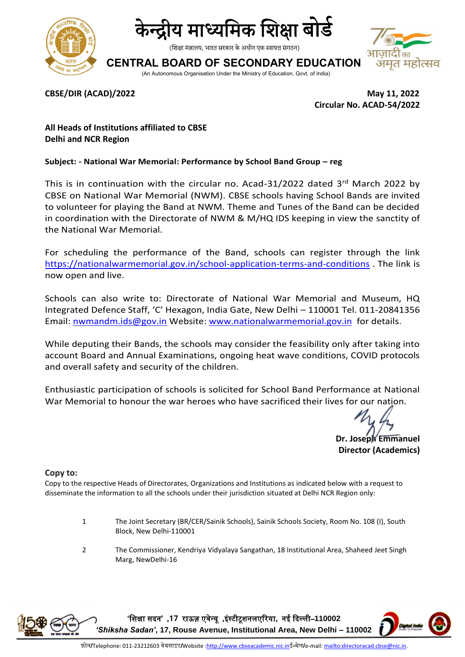



(शिक्षा मंत्रालय, भारत सरकार के अधीन एक स्वायत्त संगठन)

# **CENTRAL BOARD OF SECONDARY EDUCATION**



(An Autonomous Organisation Under the Ministry of Education, Govt. of India)

**CBSE/DIR (ACAD)/2022 May 11, 2022 Circular No. ACAD-54/2022**

### **All Heads of Institutions affiliated to CBSE Delhi and NCR Region**

### **Subject: - National War Memorial: Performance by School Band Group – reg**

This is in continuation with the circular no. Acad-31/2022 dated 3rd March 2022 by CBSE on National War Memorial (NWM). CBSE schools having School Bands are invited to volunteer for playing the Band at NWM. Theme and Tunes of the Band can be decided in coordination with the Directorate of NWM & M/HQ IDS keeping in view the sanctity of the National War Memorial.

For scheduling the performance of the Band, schools can register through the link <https://nationalwarmemorial.gov.in/school-application-terms-and-conditions> . The link is now open and live.

Schools can also write to: Directorate of National War Memorial and Museum, HQ Integrated Defence Staff, 'C' Hexagon, India Gate, New Delhi – 110001 Tel. 011-20841356 Email: [nwmandm.ids@gov.in](mailto:nwmandm.ids@gov.in) Website: [www.nationalwarmemorial.gov.in](http://www.nationalwarmemorial.gov.in/) for details.

While deputing their Bands, the schools may consider the feasibility only after taking into account Board and Annual Examinations, ongoing heat wave conditions, COVID protocols and overall safety and security of the children.

Enthusiastic participation of schools is solicited for School Band Performance at National War Memorial to honour the war heroes who have sacrificed their lives for our nation.

**Dr. Joseph Emmanuel Director (Academics)**

#### **Copy to:**

Copy to the respective Heads of Directorates, Organizations and Institutions as indicated below with a request to disseminate the information to all the schools under their jurisdiction situated at Delhi NCR Region only:

- 1 The Joint Secretary (BR/CER/Sainik Schools), Sainik Schools Society, Room No. 108 (I), South Block, New Delhi-110001
- 2 The Commissioner, Kendriya Vidyalaya Sangathan, 18 Institutional Area, Shaheed Jeet Singh Marg, NewDelhi-16